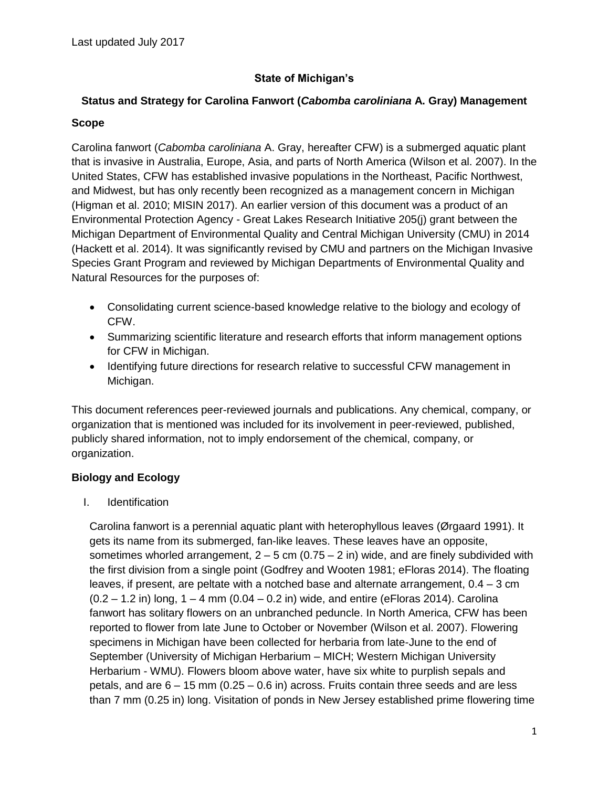# **State of Michigan's**

# **Status and Strategy for Carolina Fanwort (***Cabomba caroliniana* **A. Gray) Management**

#### **Scope**

Carolina fanwort (*Cabomba caroliniana* A. Gray, hereafter CFW) is a submerged aquatic plant that is invasive in Australia, Europe, Asia, and parts of North America (Wilson et al. 2007). In the United States, CFW has established invasive populations in the Northeast, Pacific Northwest, and Midwest, but has only recently been recognized as a management concern in Michigan (Higman et al. 2010; MISIN 2017). An earlier version of this document was a product of an Environmental Protection Agency - Great Lakes Research Initiative 205(j) grant between the Michigan Department of Environmental Quality and Central Michigan University (CMU) in 2014 (Hackett et al. 2014). It was significantly revised by CMU and partners on the Michigan Invasive Species Grant Program and reviewed by Michigan Departments of Environmental Quality and Natural Resources for the purposes of:

- Consolidating current science-based knowledge relative to the biology and ecology of CFW.
- Summarizing scientific literature and research efforts that inform management options for CFW in Michigan.
- Identifying future directions for research relative to successful CFW management in Michigan.

This document references peer-reviewed journals and publications. Any chemical, company, or organization that is mentioned was included for its involvement in peer-reviewed, published, publicly shared information, not to imply endorsement of the chemical, company, or organization.

## **Biology and Ecology**

I. Identification

Carolina fanwort is a perennial aquatic plant with heterophyllous leaves (Ørgaard 1991). It gets its name from its submerged, fan-like leaves. These leaves have an opposite, sometimes whorled arrangement,  $2 - 5$  cm  $(0.75 - 2)$  in) wide, and are finely subdivided with the first division from a single point (Godfrey and Wooten 1981; eFloras 2014). The floating leaves, if present, are peltate with a notched base and alternate arrangement, 0.4 – 3 cm  $(0.2 - 1.2$  in) long,  $1 - 4$  mm  $(0.04 - 0.2$  in) wide, and entire (eFloras 2014). Carolina fanwort has solitary flowers on an unbranched peduncle. In North America, CFW has been reported to flower from late June to October or November (Wilson et al. 2007). Flowering specimens in Michigan have been collected for herbaria from late-June to the end of September (University of Michigan Herbarium – MICH; Western Michigan University Herbarium - WMU). Flowers bloom above water, have six white to purplish sepals and petals, and are 6 – 15 mm (0.25 – 0.6 in) across. Fruits contain three seeds and are less than 7 mm (0.25 in) long. Visitation of ponds in New Jersey established prime flowering time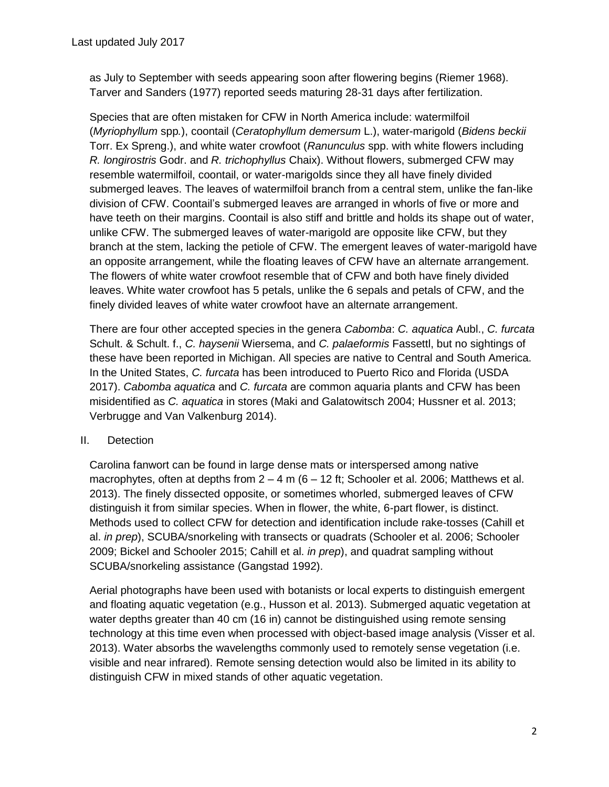as July to September with seeds appearing soon after flowering begins (Riemer 1968). Tarver and Sanders (1977) reported seeds maturing 28-31 days after fertilization.

Species that are often mistaken for CFW in North America include: watermilfoil (*Myriophyllum* spp*.*), coontail (*Ceratophyllum demersum* L.), water-marigold (*Bidens beckii* Torr. Ex Spreng.), and white water crowfoot (*Ranunculus* spp. with white flowers including *R. longirostris* Godr. and *R. trichophyllus* Chaix). Without flowers, submerged CFW may resemble watermilfoil, coontail, or water-marigolds since they all have finely divided submerged leaves. The leaves of watermilfoil branch from a central stem, unlike the fan-like division of CFW. Coontail's submerged leaves are arranged in whorls of five or more and have teeth on their margins. Coontail is also stiff and brittle and holds its shape out of water, unlike CFW. The submerged leaves of water-marigold are opposite like CFW, but they branch at the stem, lacking the petiole of CFW. The emergent leaves of water-marigold have an opposite arrangement, while the floating leaves of CFW have an alternate arrangement. The flowers of white water crowfoot resemble that of CFW and both have finely divided leaves. White water crowfoot has 5 petals, unlike the 6 sepals and petals of CFW, and the finely divided leaves of white water crowfoot have an alternate arrangement.

There are four other accepted species in the genera *Cabomba*: *C. aquatica* Aubl., *C. furcata* Schult. & Schult. f., *C. haysenii* Wiersema, and *C. palaeformis* Fassettl, but no sightings of these have been reported in Michigan. All species are native to Central and South America. In the United States, *C. furcata* has been introduced to Puerto Rico and Florida (USDA 2017). *Cabomba aquatica* and *C. furcata* are common aquaria plants and CFW has been misidentified as *C. aquatica* in stores (Maki and Galatowitsch 2004; Hussner et al. 2013; Verbrugge and Van Valkenburg 2014).

## II. Detection

Carolina fanwort can be found in large dense mats or interspersed among native macrophytes, often at depths from  $2 - 4$  m (6 – 12 ft; Schooler et al. 2006; Matthews et al. 2013). The finely dissected opposite, or sometimes whorled, submerged leaves of CFW distinguish it from similar species. When in flower, the white, 6-part flower, is distinct. Methods used to collect CFW for detection and identification include rake-tosses (Cahill et al. *in prep*), SCUBA/snorkeling with transects or quadrats (Schooler et al. 2006; Schooler 2009; Bickel and Schooler 2015; Cahill et al. *in prep*), and quadrat sampling without SCUBA/snorkeling assistance (Gangstad 1992).

Aerial photographs have been used with botanists or local experts to distinguish emergent and floating aquatic vegetation (e.g., Husson et al. 2013). Submerged aquatic vegetation at water depths greater than 40 cm (16 in) cannot be distinguished using remote sensing technology at this time even when processed with object-based image analysis (Visser et al. 2013). Water absorbs the wavelengths commonly used to remotely sense vegetation (i.e. visible and near infrared). Remote sensing detection would also be limited in its ability to distinguish CFW in mixed stands of other aquatic vegetation.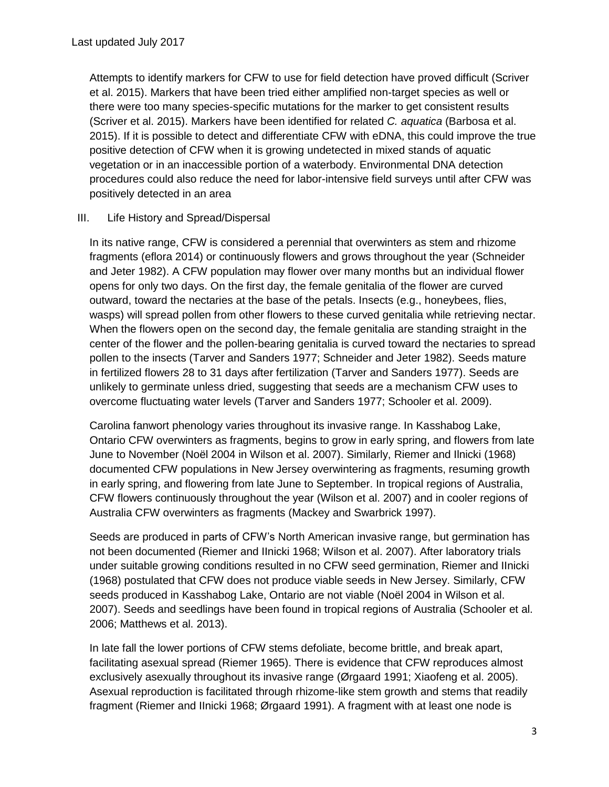Attempts to identify markers for CFW to use for field detection have proved difficult (Scriver et al. 2015). Markers that have been tried either amplified non-target species as well or there were too many species-specific mutations for the marker to get consistent results (Scriver et al. 2015). Markers have been identified for related *C. aquatica* (Barbosa et al. 2015). If it is possible to detect and differentiate CFW with eDNA, this could improve the true positive detection of CFW when it is growing undetected in mixed stands of aquatic vegetation or in an inaccessible portion of a waterbody. Environmental DNA detection procedures could also reduce the need for labor-intensive field surveys until after CFW was positively detected in an area

### III. Life History and Spread/Dispersal

In its native range, CFW is considered a perennial that overwinters as stem and rhizome fragments (eflora 2014) or continuously flowers and grows throughout the year (Schneider and Jeter 1982). A CFW population may flower over many months but an individual flower opens for only two days. On the first day, the female genitalia of the flower are curved outward, toward the nectaries at the base of the petals. Insects (e.g., honeybees, flies, wasps) will spread pollen from other flowers to these curved genitalia while retrieving nectar. When the flowers open on the second day, the female genitalia are standing straight in the center of the flower and the pollen-bearing genitalia is curved toward the nectaries to spread pollen to the insects (Tarver and Sanders 1977; Schneider and Jeter 1982). Seeds mature in fertilized flowers 28 to 31 days after fertilization (Tarver and Sanders 1977). Seeds are unlikely to germinate unless dried, suggesting that seeds are a mechanism CFW uses to overcome fluctuating water levels (Tarver and Sanders 1977; Schooler et al. 2009).

Carolina fanwort phenology varies throughout its invasive range. In Kasshabog Lake, Ontario CFW overwinters as fragments, begins to grow in early spring, and flowers from late June to November (Noël 2004 in Wilson et al. 2007). Similarly, Riemer and Ilnicki (1968) documented CFW populations in New Jersey overwintering as fragments, resuming growth in early spring, and flowering from late June to September. In tropical regions of Australia, CFW flowers continuously throughout the year (Wilson et al. 2007) and in cooler regions of Australia CFW overwinters as fragments (Mackey and Swarbrick 1997).

Seeds are produced in parts of CFW's North American invasive range, but germination has not been documented (Riemer and IInicki 1968; Wilson et al. 2007). After laboratory trials under suitable growing conditions resulted in no CFW seed germination, Riemer and IInicki (1968) postulated that CFW does not produce viable seeds in New Jersey. Similarly, CFW seeds produced in Kasshabog Lake, Ontario are not viable (Noël 2004 in Wilson et al. 2007). Seeds and seedlings have been found in tropical regions of Australia (Schooler et al. 2006; Matthews et al. 2013).

In late fall the lower portions of CFW stems defoliate, become brittle, and break apart, facilitating asexual spread (Riemer 1965). There is evidence that CFW reproduces almost exclusively asexually throughout its invasive range (Ørgaard 1991; Xiaofeng et al. 2005). Asexual reproduction is facilitated through rhizome-like stem growth and stems that readily fragment (Riemer and IInicki 1968; Ørgaard 1991). A fragment with at least one node is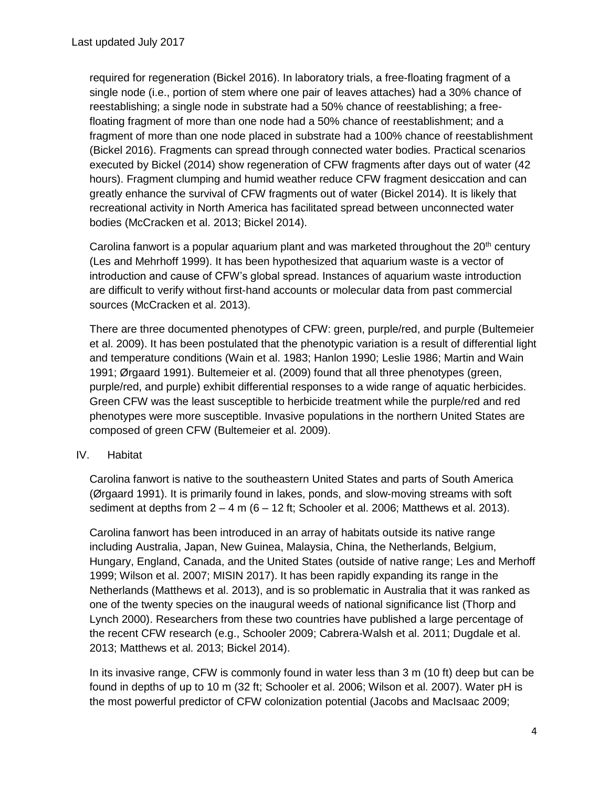required for regeneration (Bickel 2016). In laboratory trials, a free-floating fragment of a single node (i.e., portion of stem where one pair of leaves attaches) had a 30% chance of reestablishing; a single node in substrate had a 50% chance of reestablishing; a freefloating fragment of more than one node had a 50% chance of reestablishment; and a fragment of more than one node placed in substrate had a 100% chance of reestablishment (Bickel 2016). Fragments can spread through connected water bodies. Practical scenarios executed by Bickel (2014) show regeneration of CFW fragments after days out of water (42 hours). Fragment clumping and humid weather reduce CFW fragment desiccation and can greatly enhance the survival of CFW fragments out of water (Bickel 2014). It is likely that recreational activity in North America has facilitated spread between unconnected water bodies (McCracken et al. 2013; Bickel 2014).

Carolina fanwort is a popular aquarium plant and was marketed throughout the  $20<sup>th</sup>$  century (Les and Mehrhoff 1999). It has been hypothesized that aquarium waste is a vector of introduction and cause of CFW's global spread. Instances of aquarium waste introduction are difficult to verify without first-hand accounts or molecular data from past commercial sources (McCracken et al. 2013).

There are three documented phenotypes of CFW: green, purple/red, and purple (Bultemeier et al. 2009). It has been postulated that the phenotypic variation is a result of differential light and temperature conditions (Wain et al. 1983; Hanlon 1990; Leslie 1986; Martin and Wain 1991; Ørgaard 1991). Bultemeier et al. (2009) found that all three phenotypes (green, purple/red, and purple) exhibit differential responses to a wide range of aquatic herbicides. Green CFW was the least susceptible to herbicide treatment while the purple/red and red phenotypes were more susceptible. Invasive populations in the northern United States are composed of green CFW (Bultemeier et al. 2009).

#### IV. Habitat

Carolina fanwort is native to the southeastern United States and parts of South America (Ørgaard 1991). It is primarily found in lakes, ponds, and slow-moving streams with soft sediment at depths from  $2 - 4$  m (6 – 12 ft; Schooler et al. 2006; Matthews et al. 2013).

Carolina fanwort has been introduced in an array of habitats outside its native range including Australia, Japan, New Guinea, Malaysia, China, the Netherlands, Belgium, Hungary, England, Canada, and the United States (outside of native range; Les and Merhoff 1999; Wilson et al. 2007; MISIN 2017). It has been rapidly expanding its range in the Netherlands (Matthews et al. 2013), and is so problematic in Australia that it was ranked as one of the twenty species on the inaugural weeds of national significance list (Thorp and Lynch 2000). Researchers from these two countries have published a large percentage of the recent CFW research (e.g., Schooler 2009; Cabrera-Walsh et al. 2011; Dugdale et al. 2013; Matthews et al. 2013; Bickel 2014).

In its invasive range, CFW is commonly found in water less than 3 m (10 ft) deep but can be found in depths of up to 10 m (32 ft; Schooler et al. 2006; Wilson et al. 2007). Water pH is the most powerful predictor of CFW colonization potential (Jacobs and MacIsaac 2009;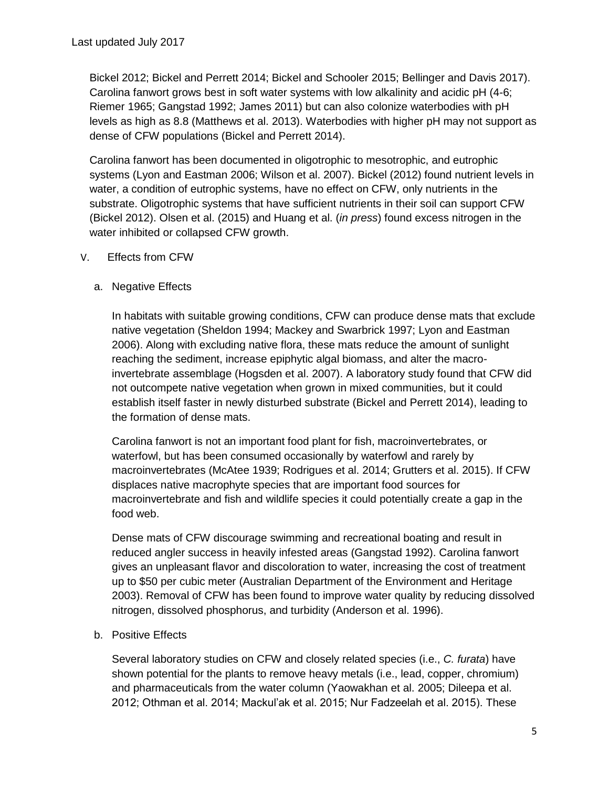Bickel 2012; Bickel and Perrett 2014; Bickel and Schooler 2015; Bellinger and Davis 2017). Carolina fanwort grows best in soft water systems with low alkalinity and acidic pH (4-6; Riemer 1965; Gangstad 1992; James 2011) but can also colonize waterbodies with pH levels as high as 8.8 (Matthews et al. 2013). Waterbodies with higher pH may not support as dense of CFW populations (Bickel and Perrett 2014).

Carolina fanwort has been documented in oligotrophic to mesotrophic, and eutrophic systems (Lyon and Eastman 2006; Wilson et al. 2007). Bickel (2012) found nutrient levels in water, a condition of eutrophic systems, have no effect on CFW, only nutrients in the substrate. Oligotrophic systems that have sufficient nutrients in their soil can support CFW (Bickel 2012). Olsen et al. (2015) and Huang et al. (*in press*) found excess nitrogen in the water inhibited or collapsed CFW growth.

- V. Effects from CFW
	- a. Negative Effects

In habitats with suitable growing conditions, CFW can produce dense mats that exclude native vegetation (Sheldon 1994; Mackey and Swarbrick 1997; Lyon and Eastman 2006). Along with excluding native flora, these mats reduce the amount of sunlight reaching the sediment, increase epiphytic algal biomass, and alter the macroinvertebrate assemblage (Hogsden et al. 2007). A laboratory study found that CFW did not outcompete native vegetation when grown in mixed communities, but it could establish itself faster in newly disturbed substrate (Bickel and Perrett 2014), leading to the formation of dense mats.

Carolina fanwort is not an important food plant for fish, macroinvertebrates, or waterfowl, but has been consumed occasionally by waterfowl and rarely by macroinvertebrates (McAtee 1939; Rodrigues et al. 2014; Grutters et al. 2015). If CFW displaces native macrophyte species that are important food sources for macroinvertebrate and fish and wildlife species it could potentially create a gap in the food web.

Dense mats of CFW discourage swimming and recreational boating and result in reduced angler success in heavily infested areas (Gangstad 1992). Carolina fanwort gives an unpleasant flavor and discoloration to water, increasing the cost of treatment up to \$50 per cubic meter (Australian Department of the Environment and Heritage 2003). Removal of CFW has been found to improve water quality by reducing dissolved nitrogen, dissolved phosphorus, and turbidity (Anderson et al. 1996).

b. Positive Effects

Several laboratory studies on CFW and closely related species (i.e., *C. furata*) have shown potential for the plants to remove heavy metals (i.e., lead, copper, chromium) and pharmaceuticals from the water column (Yaowakhan et al. 2005; Dileepa et al. 2012; Othman et al. 2014; Mackul'ak et al. 2015; Nur Fadzeelah et al. 2015). These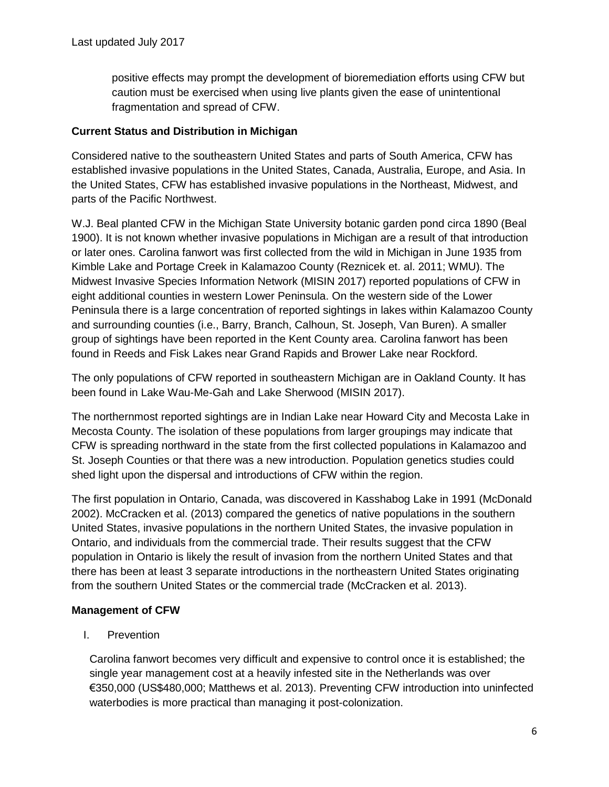positive effects may prompt the development of bioremediation efforts using CFW but caution must be exercised when using live plants given the ease of unintentional fragmentation and spread of CFW.

### **Current Status and Distribution in Michigan**

Considered native to the southeastern United States and parts of South America, CFW has established invasive populations in the United States, Canada, Australia, Europe, and Asia. In the United States, CFW has established invasive populations in the Northeast, Midwest, and parts of the Pacific Northwest.

W.J. Beal planted CFW in the Michigan State University botanic garden pond circa 1890 (Beal 1900). It is not known whether invasive populations in Michigan are a result of that introduction or later ones. Carolina fanwort was first collected from the wild in Michigan in June 1935 from Kimble Lake and Portage Creek in Kalamazoo County (Reznicek et. al. 2011; WMU). The Midwest Invasive Species Information Network (MISIN 2017) reported populations of CFW in eight additional counties in western Lower Peninsula. On the western side of the Lower Peninsula there is a large concentration of reported sightings in lakes within Kalamazoo County and surrounding counties (i.e., Barry, Branch, Calhoun, St. Joseph, Van Buren). A smaller group of sightings have been reported in the Kent County area. Carolina fanwort has been found in Reeds and Fisk Lakes near Grand Rapids and Brower Lake near Rockford.

The only populations of CFW reported in southeastern Michigan are in Oakland County. It has been found in Lake Wau-Me-Gah and Lake Sherwood (MISIN 2017).

The northernmost reported sightings are in Indian Lake near Howard City and Mecosta Lake in Mecosta County. The isolation of these populations from larger groupings may indicate that CFW is spreading northward in the state from the first collected populations in Kalamazoo and St. Joseph Counties or that there was a new introduction. Population genetics studies could shed light upon the dispersal and introductions of CFW within the region.

The first population in Ontario, Canada, was discovered in Kasshabog Lake in 1991 (McDonald 2002). McCracken et al. (2013) compared the genetics of native populations in the southern United States, invasive populations in the northern United States, the invasive population in Ontario, and individuals from the commercial trade. Their results suggest that the CFW population in Ontario is likely the result of invasion from the northern United States and that there has been at least 3 separate introductions in the northeastern United States originating from the southern United States or the commercial trade (McCracken et al. 2013).

#### **Management of CFW**

I. Prevention

Carolina fanwort becomes very difficult and expensive to control once it is established; the single year management cost at a heavily infested site in the Netherlands was over €350,000 (US\$480,000; Matthews et al. 2013). Preventing CFW introduction into uninfected waterbodies is more practical than managing it post-colonization.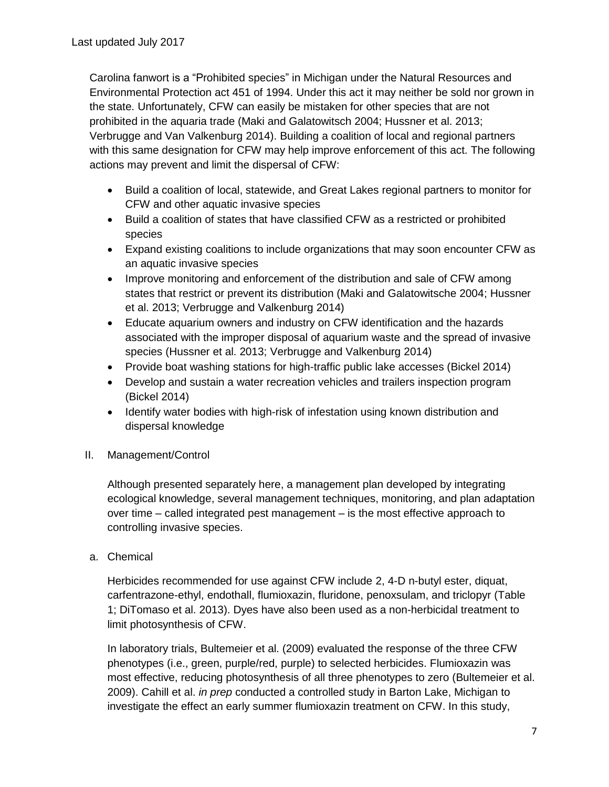Carolina fanwort is a "Prohibited species" in Michigan under the Natural Resources and Environmental Protection act 451 of 1994. Under this act it may neither be sold nor grown in the state. Unfortunately, CFW can easily be mistaken for other species that are not prohibited in the aquaria trade (Maki and Galatowitsch 2004; Hussner et al. 2013; Verbrugge and Van Valkenburg 2014). Building a coalition of local and regional partners with this same designation for CFW may help improve enforcement of this act. The following actions may prevent and limit the dispersal of CFW:

- Build a coalition of local, statewide, and Great Lakes regional partners to monitor for CFW and other aquatic invasive species
- Build a coalition of states that have classified CFW as a restricted or prohibited species
- Expand existing coalitions to include organizations that may soon encounter CFW as an aquatic invasive species
- Improve monitoring and enforcement of the distribution and sale of CFW among states that restrict or prevent its distribution (Maki and Galatowitsche 2004; Hussner et al. 2013; Verbrugge and Valkenburg 2014)
- Educate aquarium owners and industry on CFW identification and the hazards associated with the improper disposal of aquarium waste and the spread of invasive species (Hussner et al. 2013; Verbrugge and Valkenburg 2014)
- Provide boat washing stations for high-traffic public lake accesses (Bickel 2014)
- Develop and sustain a water recreation vehicles and trailers inspection program (Bickel 2014)
- Identify water bodies with high-risk of infestation using known distribution and dispersal knowledge
- II. Management/Control

Although presented separately here, a management plan developed by integrating ecological knowledge, several management techniques, monitoring, and plan adaptation over time – called integrated pest management – is the most effective approach to controlling invasive species.

a. Chemical

Herbicides recommended for use against CFW include 2, 4-D n-butyl ester, diquat, carfentrazone-ethyl, endothall, flumioxazin, fluridone, penoxsulam, and triclopyr (Table 1; DiTomaso et al. 2013). Dyes have also been used as a non-herbicidal treatment to limit photosynthesis of CFW.

In laboratory trials, Bultemeier et al. (2009) evaluated the response of the three CFW phenotypes (i.e., green, purple/red, purple) to selected herbicides. Flumioxazin was most effective, reducing photosynthesis of all three phenotypes to zero (Bultemeier et al. 2009). Cahill et al. *in prep* conducted a controlled study in Barton Lake, Michigan to investigate the effect an early summer flumioxazin treatment on CFW. In this study,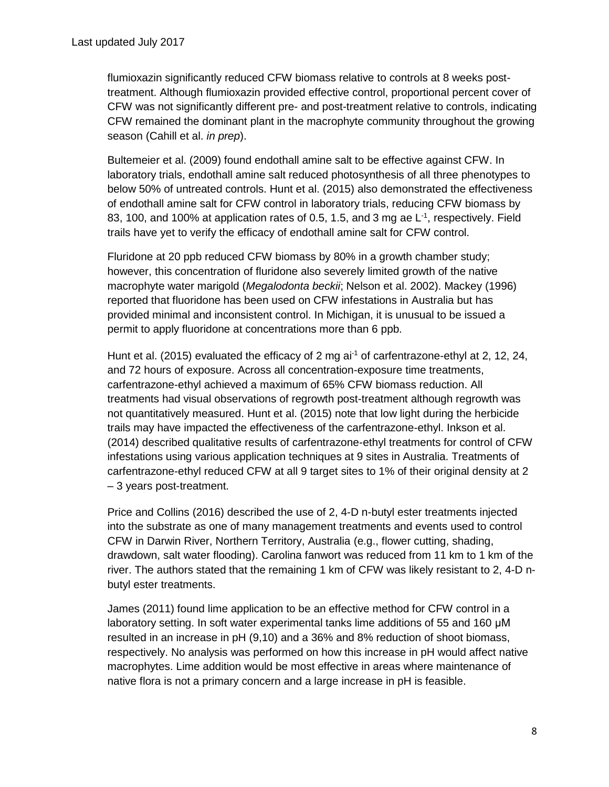flumioxazin significantly reduced CFW biomass relative to controls at 8 weeks posttreatment. Although flumioxazin provided effective control, proportional percent cover of CFW was not significantly different pre- and post-treatment relative to controls, indicating CFW remained the dominant plant in the macrophyte community throughout the growing season (Cahill et al. *in prep*).

Bultemeier et al. (2009) found endothall amine salt to be effective against CFW. In laboratory trials, endothall amine salt reduced photosynthesis of all three phenotypes to below 50% of untreated controls. Hunt et al. (2015) also demonstrated the effectiveness of endothall amine salt for CFW control in laboratory trials, reducing CFW biomass by 83, 100, and 100% at application rates of 0.5, 1.5, and 3 mg ae L<sup>-1</sup>, respectively. Field trails have yet to verify the efficacy of endothall amine salt for CFW control.

Fluridone at 20 ppb reduced CFW biomass by 80% in a growth chamber study; however, this concentration of fluridone also severely limited growth of the native macrophyte water marigold (*Megalodonta beckii*; Nelson et al. 2002). Mackey (1996) reported that fluoridone has been used on CFW infestations in Australia but has provided minimal and inconsistent control. In Michigan, it is unusual to be issued a permit to apply fluoridone at concentrations more than 6 ppb.

Hunt et al. (2015) evaluated the efficacy of 2 mg ai<sup>-1</sup> of carfentrazone-ethyl at 2, 12, 24, and 72 hours of exposure. Across all concentration-exposure time treatments, carfentrazone-ethyl achieved a maximum of 65% CFW biomass reduction. All treatments had visual observations of regrowth post-treatment although regrowth was not quantitatively measured. Hunt et al. (2015) note that low light during the herbicide trails may have impacted the effectiveness of the carfentrazone-ethyl. Inkson et al. (2014) described qualitative results of carfentrazone-ethyl treatments for control of CFW infestations using various application techniques at 9 sites in Australia. Treatments of carfentrazone-ethyl reduced CFW at all 9 target sites to 1% of their original density at 2 – 3 years post-treatment.

Price and Collins (2016) described the use of 2, 4-D n-butyl ester treatments injected into the substrate as one of many management treatments and events used to control CFW in Darwin River, Northern Territory, Australia (e.g., flower cutting, shading, drawdown, salt water flooding). Carolina fanwort was reduced from 11 km to 1 km of the river. The authors stated that the remaining 1 km of CFW was likely resistant to 2, 4-D nbutyl ester treatments.

James (2011) found lime application to be an effective method for CFW control in a laboratory setting. In soft water experimental tanks lime additions of 55 and 160 μM resulted in an increase in pH (9,10) and a 36% and 8% reduction of shoot biomass, respectively. No analysis was performed on how this increase in pH would affect native macrophytes. Lime addition would be most effective in areas where maintenance of native flora is not a primary concern and a large increase in pH is feasible.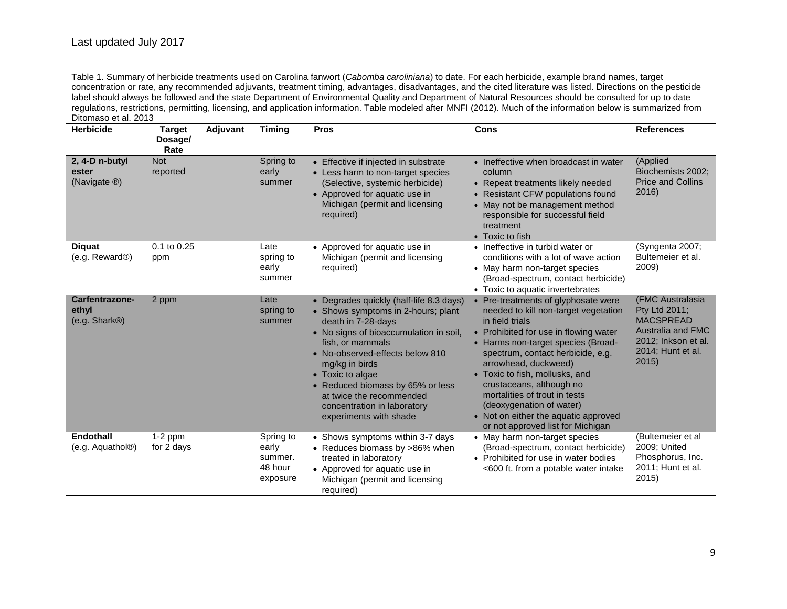Table 1. Summary of herbicide treatments used on Carolina fanwort (*Cabomba caroliniana*) to date. For each herbicide, example brand names, target concentration or rate, any recommended adjuvants, treatment timing, advantages, disadvantages, and the cited literature was listed. Directions on the pesticide label should always be followed and the state Department of Environmental Quality and Department of Natural Resources should be consulted for up to date regulations, restrictions, permitting, licensing, and application information. Table modeled after MNFI (2012). Much of the information below is summarized from Ditomaso et al. 2013

| <b>Herbicide</b>                                      | <b>Target</b><br>Dosage/<br>Rate | Adjuvant | <b>Timing</b>                                        | <b>Pros</b>                                                                                                                                                                                                                                                                                                                                                         | Cons                                                                                                                                                                                                                                                                                                                                                                                                                                               | <b>References</b>                                                                                                               |
|-------------------------------------------------------|----------------------------------|----------|------------------------------------------------------|---------------------------------------------------------------------------------------------------------------------------------------------------------------------------------------------------------------------------------------------------------------------------------------------------------------------------------------------------------------------|----------------------------------------------------------------------------------------------------------------------------------------------------------------------------------------------------------------------------------------------------------------------------------------------------------------------------------------------------------------------------------------------------------------------------------------------------|---------------------------------------------------------------------------------------------------------------------------------|
| 2, 4-D n-butyl<br>ester<br>(Navigate ®)               | <b>Not</b><br>reported           |          | Spring to<br>early<br>summer                         | • Effective if injected in substrate<br>• Less harm to non-target species<br>(Selective, systemic herbicide)<br>• Approved for aquatic use in<br>Michigan (permit and licensing<br>required)                                                                                                                                                                        | • Ineffective when broadcast in water<br>column<br>• Repeat treatments likely needed<br>• Resistant CFW populations found<br>• May not be management method<br>responsible for successful field<br>treatment<br>• Toxic to fish                                                                                                                                                                                                                    | (Applied<br>Biochemists 2002;<br><b>Price and Collins</b><br>2016)                                                              |
| <b>Diquat</b><br>(e.g. Reward®)                       | 0.1 to 0.25<br>ppm               |          | Late<br>spring to<br>early<br>summer                 | • Approved for aquatic use in<br>Michigan (permit and licensing<br>required)                                                                                                                                                                                                                                                                                        | • Ineffective in turbid water or<br>conditions with a lot of wave action<br>• May harm non-target species<br>(Broad-spectrum, contact herbicide)<br>• Toxic to aquatic invertebrates                                                                                                                                                                                                                                                               | (Syngenta 2007;<br>Bultemeier et al.<br>2009)                                                                                   |
| Carfentrazone-<br>ethyl<br>(e.g. Shark <sup>®</sup> ) | 2 ppm                            |          | Late<br>spring to<br>summer                          | • Degrades quickly (half-life 8.3 days)<br>• Shows symptoms in 2-hours; plant<br>death in 7-28-days<br>• No signs of bioaccumulation in soil,<br>fish, or mammals<br>• No-observed-effects below 810<br>mg/kg in birds<br>• Toxic to algae<br>• Reduced biomass by 65% or less<br>at twice the recommended<br>concentration in laboratory<br>experiments with shade | • Pre-treatments of glyphosate were<br>needed to kill non-target vegetation<br>in field trials<br>• Prohibited for use in flowing water<br>• Harms non-target species (Broad-<br>spectrum, contact herbicide, e.g.<br>arrowhead, duckweed)<br>• Toxic to fish, mollusks, and<br>crustaceans, although no<br>mortalities of trout in tests<br>(deoxygenation of water)<br>• Not on either the aquatic approved<br>or not approved list for Michigan | (FMC Australasia<br>Pty Ltd 2011;<br><b>MACSPREAD</b><br>Australia and FMC<br>2012; Inkson et al.<br>2014; Hunt et al.<br>2015) |
| <b>Endothall</b><br>(e.g. Aquathol <sup>®</sup> )     | $1-2$ ppm<br>for 2 days          |          | Spring to<br>early<br>summer.<br>48 hour<br>exposure | • Shows symptoms within 3-7 days<br>• Reduces biomass by >86% when<br>treated in laboratory<br>• Approved for aquatic use in<br>Michigan (permit and licensing<br>required)                                                                                                                                                                                         | • May harm non-target species<br>(Broad-spectrum, contact herbicide)<br>• Prohibited for use in water bodies<br><600 ft. from a potable water intake                                                                                                                                                                                                                                                                                               | (Bultemeier et al<br>2009; United<br>Phosphorus, Inc.<br>2011; Hunt et al.<br>2015)                                             |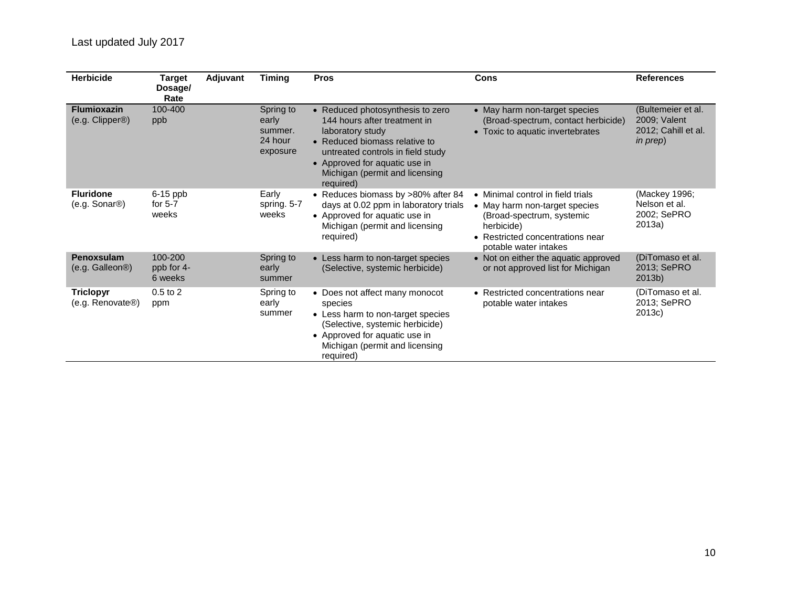| <b>Herbicide</b>                                  | Target<br>Dosage/<br>Rate        | Adjuvant | <b>Timing</b>                                        | <b>Pros</b>                                                                                                                                                                                                                                | Cons                                                                                                                                                                       | <b>References</b>                                                     |
|---------------------------------------------------|----------------------------------|----------|------------------------------------------------------|--------------------------------------------------------------------------------------------------------------------------------------------------------------------------------------------------------------------------------------------|----------------------------------------------------------------------------------------------------------------------------------------------------------------------------|-----------------------------------------------------------------------|
| <b>Flumioxazin</b><br>(e.g. Clipper®)             | 100-400<br>ppb                   |          | Spring to<br>early<br>summer.<br>24 hour<br>exposure | • Reduced photosynthesis to zero<br>144 hours after treatment in<br>laboratory study<br>• Reduced biomass relative to<br>untreated controls in field study<br>• Approved for aquatic use in<br>Michigan (permit and licensing<br>required) | • May harm non-target species<br>(Broad-spectrum, contact herbicide)<br>• Toxic to aquatic invertebrates                                                                   | (Bultemeier et al.<br>2009; Valent<br>2012; Cahill et al.<br>in prep) |
| <b>Fluridone</b><br>$(e.g. Sonar\otimes)$         | $6-15$ ppb<br>for $5-7$<br>weeks |          | Early<br>spring. 5-7<br>weeks                        | • Reduces biomass by >80% after 84<br>days at 0.02 ppm in laboratory trials<br>• Approved for aquatic use in<br>Michigan (permit and licensing<br>required)                                                                                | • Minimal control in field trials<br>• May harm non-target species<br>(Broad-spectrum, systemic<br>herbicide)<br>• Restricted concentrations near<br>potable water intakes | (Mackey 1996;<br>Nelson et al.<br>2002; SePRO<br>2013a)               |
| Penoxsulam<br>(e.g. Galleon®)                     | 100-200<br>ppb for 4-<br>6 weeks |          | Spring to<br>early<br>summer                         | • Less harm to non-target species<br>(Selective, systemic herbicide)                                                                                                                                                                       | • Not on either the aquatic approved<br>or not approved list for Michigan                                                                                                  | (DiTomaso et al.<br>2013; SePRO<br>2013b)                             |
| <b>Triclopyr</b><br>(e.g. Renovate <sup>®</sup> ) | $0.5$ to $2$<br>ppm              |          | Spring to<br>early<br>summer                         | • Does not affect many monocot<br>species<br>• Less harm to non-target species<br>(Selective, systemic herbicide)<br>• Approved for aquatic use in<br>Michigan (permit and licensing<br>required)                                          | • Restricted concentrations near<br>potable water intakes                                                                                                                  | (DiTomaso et al.<br>2013; SePRO<br>2013c)                             |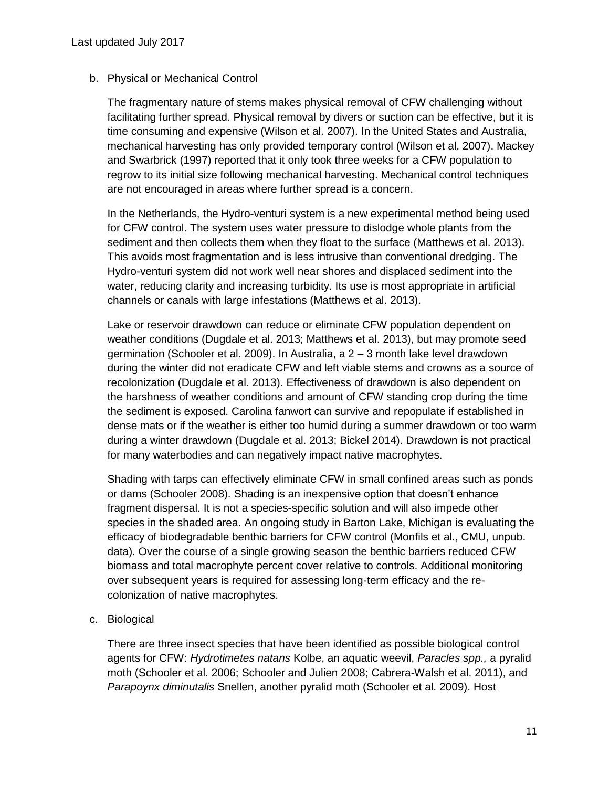### b. Physical or Mechanical Control

The fragmentary nature of stems makes physical removal of CFW challenging without facilitating further spread. Physical removal by divers or suction can be effective, but it is time consuming and expensive (Wilson et al. 2007). In the United States and Australia, mechanical harvesting has only provided temporary control (Wilson et al. 2007). Mackey and Swarbrick (1997) reported that it only took three weeks for a CFW population to regrow to its initial size following mechanical harvesting. Mechanical control techniques are not encouraged in areas where further spread is a concern.

In the Netherlands, the Hydro-venturi system is a new experimental method being used for CFW control. The system uses water pressure to dislodge whole plants from the sediment and then collects them when they float to the surface (Matthews et al. 2013). This avoids most fragmentation and is less intrusive than conventional dredging. The Hydro-venturi system did not work well near shores and displaced sediment into the water, reducing clarity and increasing turbidity. Its use is most appropriate in artificial channels or canals with large infestations (Matthews et al. 2013).

Lake or reservoir drawdown can reduce or eliminate CFW population dependent on weather conditions (Dugdale et al. 2013; Matthews et al. 2013), but may promote seed germination (Schooler et al. 2009). In Australia, a 2 – 3 month lake level drawdown during the winter did not eradicate CFW and left viable stems and crowns as a source of recolonization (Dugdale et al. 2013). Effectiveness of drawdown is also dependent on the harshness of weather conditions and amount of CFW standing crop during the time the sediment is exposed. Carolina fanwort can survive and repopulate if established in dense mats or if the weather is either too humid during a summer drawdown or too warm during a winter drawdown (Dugdale et al. 2013; Bickel 2014). Drawdown is not practical for many waterbodies and can negatively impact native macrophytes.

Shading with tarps can effectively eliminate CFW in small confined areas such as ponds or dams (Schooler 2008). Shading is an inexpensive option that doesn't enhance fragment dispersal. It is not a species-specific solution and will also impede other species in the shaded area. An ongoing study in Barton Lake, Michigan is evaluating the efficacy of biodegradable benthic barriers for CFW control (Monfils et al., CMU, unpub. data). Over the course of a single growing season the benthic barriers reduced CFW biomass and total macrophyte percent cover relative to controls. Additional monitoring over subsequent years is required for assessing long-term efficacy and the recolonization of native macrophytes.

c. Biological

There are three insect species that have been identified as possible biological control agents for CFW: *Hydrotimetes natans* Kolbe, an aquatic weevil, *Paracles spp.,* a pyralid moth (Schooler et al. 2006; Schooler and Julien 2008; Cabrera-Walsh et al. 2011), and *Parapoynx diminutalis* Snellen, another pyralid moth (Schooler et al. 2009). Host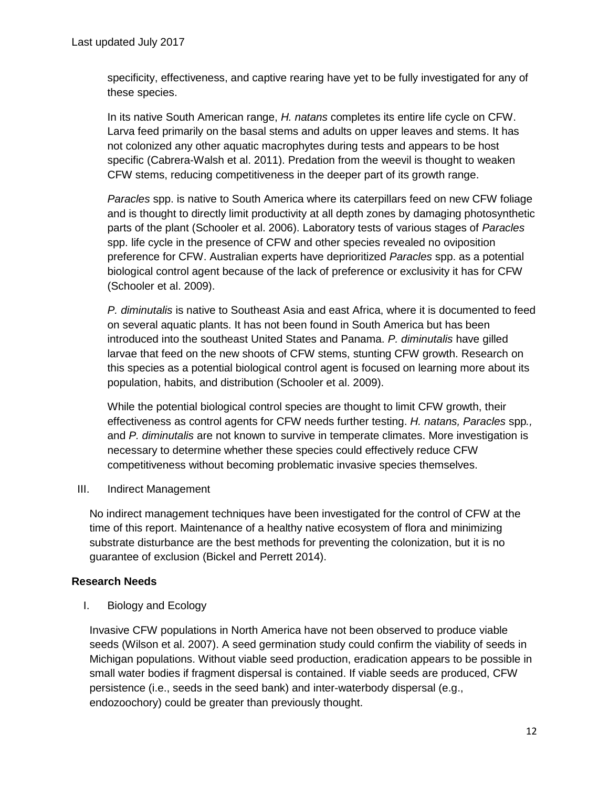specificity, effectiveness, and captive rearing have yet to be fully investigated for any of these species.

In its native South American range, *H. natans* completes its entire life cycle on CFW. Larva feed primarily on the basal stems and adults on upper leaves and stems. It has not colonized any other aquatic macrophytes during tests and appears to be host specific (Cabrera-Walsh et al. 2011). Predation from the weevil is thought to weaken CFW stems, reducing competitiveness in the deeper part of its growth range.

*Paracles* spp. is native to South America where its caterpillars feed on new CFW foliage and is thought to directly limit productivity at all depth zones by damaging photosynthetic parts of the plant (Schooler et al. 2006). Laboratory tests of various stages of *Paracles* spp. life cycle in the presence of CFW and other species revealed no oviposition preference for CFW. Australian experts have deprioritized *Paracles* spp. as a potential biological control agent because of the lack of preference or exclusivity it has for CFW (Schooler et al. 2009).

*P. diminutalis* is native to Southeast Asia and east Africa, where it is documented to feed on several aquatic plants. It has not been found in South America but has been introduced into the southeast United States and Panama. *P. diminutalis* have gilled larvae that feed on the new shoots of CFW stems, stunting CFW growth. Research on this species as a potential biological control agent is focused on learning more about its population, habits, and distribution (Schooler et al. 2009).

While the potential biological control species are thought to limit CFW growth, their effectiveness as control agents for CFW needs further testing. *H. natans, Paracles* spp*.,* and *P. diminutalis* are not known to survive in temperate climates. More investigation is necessary to determine whether these species could effectively reduce CFW competitiveness without becoming problematic invasive species themselves.

III. Indirect Management

No indirect management techniques have been investigated for the control of CFW at the time of this report. Maintenance of a healthy native ecosystem of flora and minimizing substrate disturbance are the best methods for preventing the colonization, but it is no guarantee of exclusion (Bickel and Perrett 2014).

#### **Research Needs**

I. Biology and Ecology

Invasive CFW populations in North America have not been observed to produce viable seeds (Wilson et al. 2007). A seed germination study could confirm the viability of seeds in Michigan populations. Without viable seed production, eradication appears to be possible in small water bodies if fragment dispersal is contained. If viable seeds are produced, CFW persistence (i.e., seeds in the seed bank) and inter-waterbody dispersal (e.g., endozoochory) could be greater than previously thought.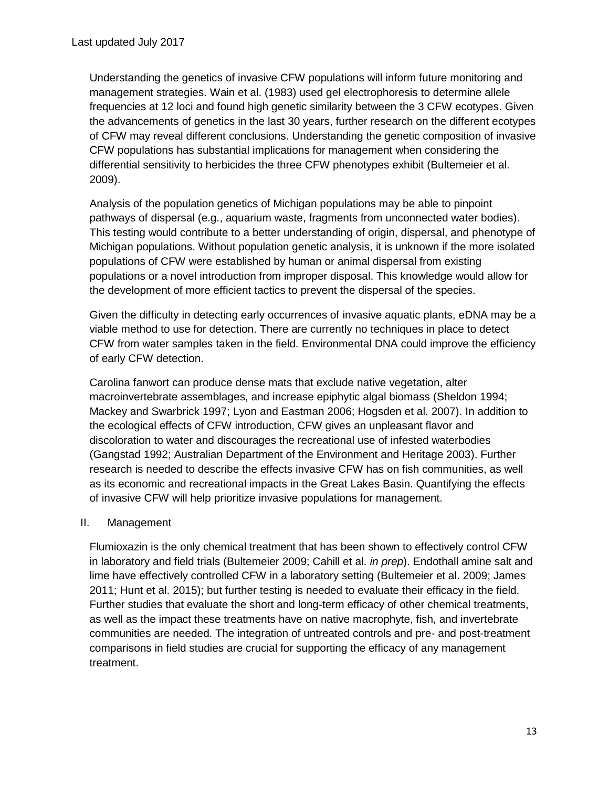Understanding the genetics of invasive CFW populations will inform future monitoring and management strategies. Wain et al. (1983) used gel electrophoresis to determine allele frequencies at 12 loci and found high genetic similarity between the 3 CFW ecotypes. Given the advancements of genetics in the last 30 years, further research on the different ecotypes of CFW may reveal different conclusions. Understanding the genetic composition of invasive CFW populations has substantial implications for management when considering the differential sensitivity to herbicides the three CFW phenotypes exhibit (Bultemeier et al. 2009).

Analysis of the population genetics of Michigan populations may be able to pinpoint pathways of dispersal (e.g., aquarium waste, fragments from unconnected water bodies). This testing would contribute to a better understanding of origin, dispersal, and phenotype of Michigan populations. Without population genetic analysis, it is unknown if the more isolated populations of CFW were established by human or animal dispersal from existing populations or a novel introduction from improper disposal. This knowledge would allow for the development of more efficient tactics to prevent the dispersal of the species.

Given the difficulty in detecting early occurrences of invasive aquatic plants, eDNA may be a viable method to use for detection. There are currently no techniques in place to detect CFW from water samples taken in the field. Environmental DNA could improve the efficiency of early CFW detection.

Carolina fanwort can produce dense mats that exclude native vegetation, alter macroinvertebrate assemblages, and increase epiphytic algal biomass (Sheldon 1994; Mackey and Swarbrick 1997; Lyon and Eastman 2006; Hogsden et al. 2007). In addition to the ecological effects of CFW introduction, CFW gives an unpleasant flavor and discoloration to water and discourages the recreational use of infested waterbodies (Gangstad 1992; Australian Department of the Environment and Heritage 2003). Further research is needed to describe the effects invasive CFW has on fish communities, as well as its economic and recreational impacts in the Great Lakes Basin. Quantifying the effects of invasive CFW will help prioritize invasive populations for management.

## II. Management

Flumioxazin is the only chemical treatment that has been shown to effectively control CFW in laboratory and field trials (Bultemeier 2009; Cahill et al. *in prep*). Endothall amine salt and lime have effectively controlled CFW in a laboratory setting (Bultemeier et al. 2009; James 2011; Hunt et al. 2015); but further testing is needed to evaluate their efficacy in the field. Further studies that evaluate the short and long-term efficacy of other chemical treatments, as well as the impact these treatments have on native macrophyte, fish, and invertebrate communities are needed. The integration of untreated controls and pre- and post-treatment comparisons in field studies are crucial for supporting the efficacy of any management treatment.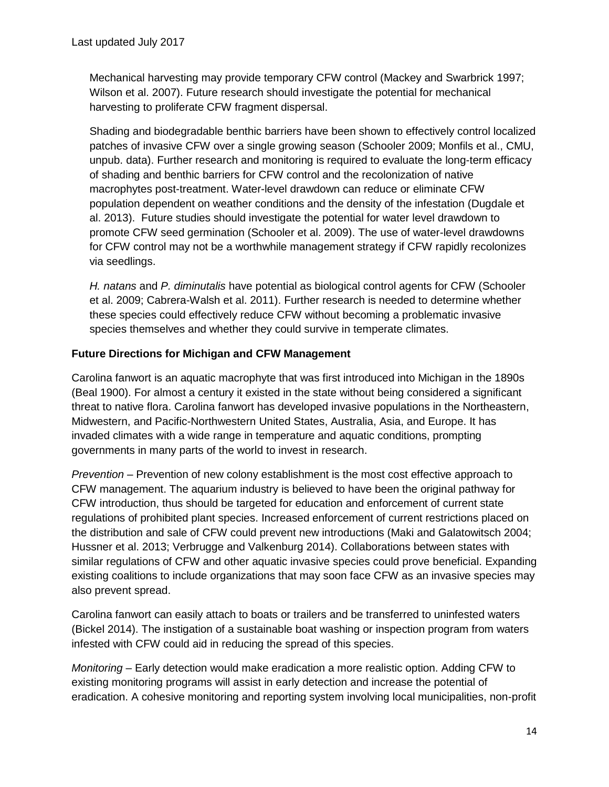Mechanical harvesting may provide temporary CFW control (Mackey and Swarbrick 1997; Wilson et al. 2007). Future research should investigate the potential for mechanical harvesting to proliferate CFW fragment dispersal.

Shading and biodegradable benthic barriers have been shown to effectively control localized patches of invasive CFW over a single growing season (Schooler 2009; Monfils et al., CMU, unpub. data). Further research and monitoring is required to evaluate the long-term efficacy of shading and benthic barriers for CFW control and the recolonization of native macrophytes post-treatment. Water-level drawdown can reduce or eliminate CFW population dependent on weather conditions and the density of the infestation (Dugdale et al. 2013). Future studies should investigate the potential for water level drawdown to promote CFW seed germination (Schooler et al. 2009). The use of water-level drawdowns for CFW control may not be a worthwhile management strategy if CFW rapidly recolonizes via seedlings.

*H. natans* and *P. diminutalis* have potential as biological control agents for CFW (Schooler et al. 2009; Cabrera-Walsh et al. 2011). Further research is needed to determine whether these species could effectively reduce CFW without becoming a problematic invasive species themselves and whether they could survive in temperate climates.

### **Future Directions for Michigan and CFW Management**

Carolina fanwort is an aquatic macrophyte that was first introduced into Michigan in the 1890s (Beal 1900). For almost a century it existed in the state without being considered a significant threat to native flora. Carolina fanwort has developed invasive populations in the Northeastern, Midwestern, and Pacific-Northwestern United States, Australia, Asia, and Europe. It has invaded climates with a wide range in temperature and aquatic conditions, prompting governments in many parts of the world to invest in research.

*Prevention* – Prevention of new colony establishment is the most cost effective approach to CFW management. The aquarium industry is believed to have been the original pathway for CFW introduction, thus should be targeted for education and enforcement of current state regulations of prohibited plant species. Increased enforcement of current restrictions placed on the distribution and sale of CFW could prevent new introductions (Maki and Galatowitsch 2004; Hussner et al. 2013; Verbrugge and Valkenburg 2014). Collaborations between states with similar regulations of CFW and other aquatic invasive species could prove beneficial. Expanding existing coalitions to include organizations that may soon face CFW as an invasive species may also prevent spread.

Carolina fanwort can easily attach to boats or trailers and be transferred to uninfested waters (Bickel 2014). The instigation of a sustainable boat washing or inspection program from waters infested with CFW could aid in reducing the spread of this species.

*Monitoring* – Early detection would make eradication a more realistic option. Adding CFW to existing monitoring programs will assist in early detection and increase the potential of eradication. A cohesive monitoring and reporting system involving local municipalities, non-profit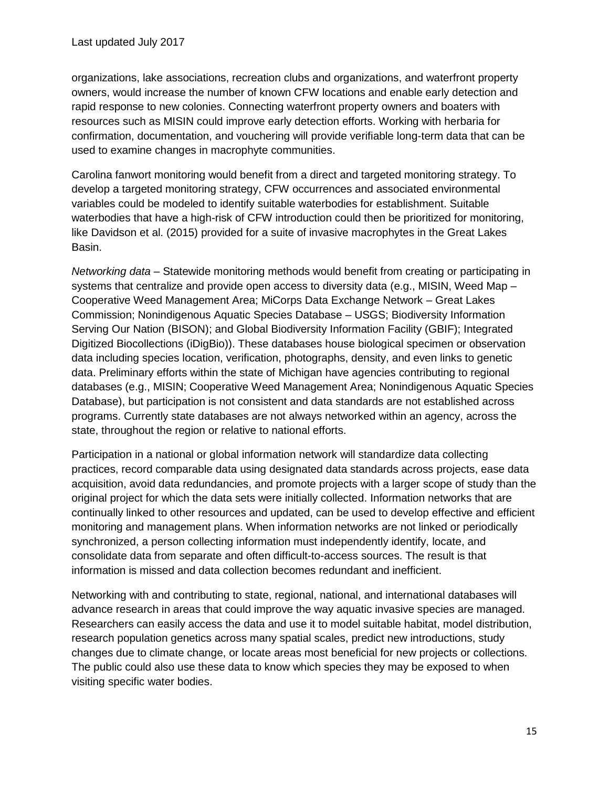organizations, lake associations, recreation clubs and organizations, and waterfront property owners, would increase the number of known CFW locations and enable early detection and rapid response to new colonies. Connecting waterfront property owners and boaters with resources such as MISIN could improve early detection efforts. Working with herbaria for confirmation, documentation, and vouchering will provide verifiable long-term data that can be used to examine changes in macrophyte communities.

Carolina fanwort monitoring would benefit from a direct and targeted monitoring strategy. To develop a targeted monitoring strategy, CFW occurrences and associated environmental variables could be modeled to identify suitable waterbodies for establishment. Suitable waterbodies that have a high-risk of CFW introduction could then be prioritized for monitoring, like Davidson et al. (2015) provided for a suite of invasive macrophytes in the Great Lakes Basin.

*Networking data* – Statewide monitoring methods would benefit from creating or participating in systems that centralize and provide open access to diversity data (e.g., MISIN, Weed Map – Cooperative Weed Management Area; MiCorps Data Exchange Network – Great Lakes Commission; Nonindigenous Aquatic Species Database – USGS; Biodiversity Information Serving Our Nation (BISON); and Global Biodiversity Information Facility (GBIF); Integrated Digitized Biocollections (iDigBio)). These databases house biological specimen or observation data including species location, verification, photographs, density, and even links to genetic data. Preliminary efforts within the state of Michigan have agencies contributing to regional databases (e.g., MISIN; Cooperative Weed Management Area; Nonindigenous Aquatic Species Database), but participation is not consistent and data standards are not established across programs. Currently state databases are not always networked within an agency, across the state, throughout the region or relative to national efforts.

Participation in a national or global information network will standardize data collecting practices, record comparable data using designated data standards across projects, ease data acquisition, avoid data redundancies, and promote projects with a larger scope of study than the original project for which the data sets were initially collected. Information networks that are continually linked to other resources and updated, can be used to develop effective and efficient monitoring and management plans. When information networks are not linked or periodically synchronized, a person collecting information must independently identify, locate, and consolidate data from separate and often difficult-to-access sources. The result is that information is missed and data collection becomes redundant and inefficient.

Networking with and contributing to state, regional, national, and international databases will advance research in areas that could improve the way aquatic invasive species are managed. Researchers can easily access the data and use it to model suitable habitat, model distribution, research population genetics across many spatial scales, predict new introductions, study changes due to climate change, or locate areas most beneficial for new projects or collections. The public could also use these data to know which species they may be exposed to when visiting specific water bodies.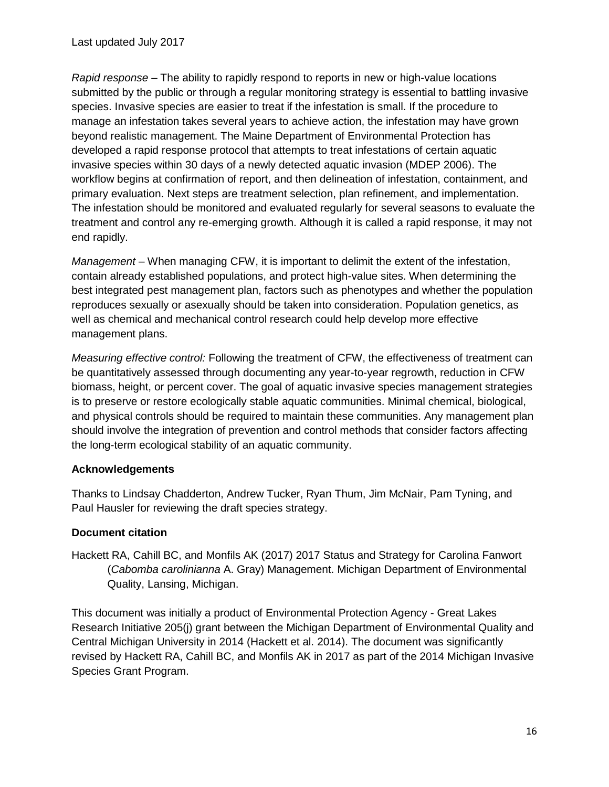*Rapid response* – The ability to rapidly respond to reports in new or high-value locations submitted by the public or through a regular monitoring strategy is essential to battling invasive species. Invasive species are easier to treat if the infestation is small. If the procedure to manage an infestation takes several years to achieve action, the infestation may have grown beyond realistic management. The Maine Department of Environmental Protection has developed a rapid response protocol that attempts to treat infestations of certain aquatic invasive species within 30 days of a newly detected aquatic invasion (MDEP 2006). The workflow begins at confirmation of report, and then delineation of infestation, containment, and primary evaluation. Next steps are treatment selection, plan refinement, and implementation. The infestation should be monitored and evaluated regularly for several seasons to evaluate the treatment and control any re-emerging growth. Although it is called a rapid response, it may not end rapidly.

*Management* – When managing CFW, it is important to delimit the extent of the infestation, contain already established populations, and protect high-value sites. When determining the best integrated pest management plan, factors such as phenotypes and whether the population reproduces sexually or asexually should be taken into consideration. Population genetics, as well as chemical and mechanical control research could help develop more effective management plans.

*Measuring effective control:* Following the treatment of CFW, the effectiveness of treatment can be quantitatively assessed through documenting any year-to-year regrowth, reduction in CFW biomass, height, or percent cover. The goal of aquatic invasive species management strategies is to preserve or restore ecologically stable aquatic communities. Minimal chemical, biological, and physical controls should be required to maintain these communities. Any management plan should involve the integration of prevention and control methods that consider factors affecting the long-term ecological stability of an aquatic community.

## **Acknowledgements**

Thanks to Lindsay Chadderton, Andrew Tucker, Ryan Thum, Jim McNair, Pam Tyning, and Paul Hausler for reviewing the draft species strategy.

## **Document citation**

Hackett RA, Cahill BC, and Monfils AK (2017) 2017 Status and Strategy for Carolina Fanwort (*Cabomba carolinianna* A. Gray) Management. Michigan Department of Environmental Quality, Lansing, Michigan.

This document was initially a product of Environmental Protection Agency - Great Lakes Research Initiative 205(j) grant between the Michigan Department of Environmental Quality and Central Michigan University in 2014 (Hackett et al. 2014). The document was significantly revised by Hackett RA, Cahill BC, and Monfils AK in 2017 as part of the 2014 Michigan Invasive Species Grant Program.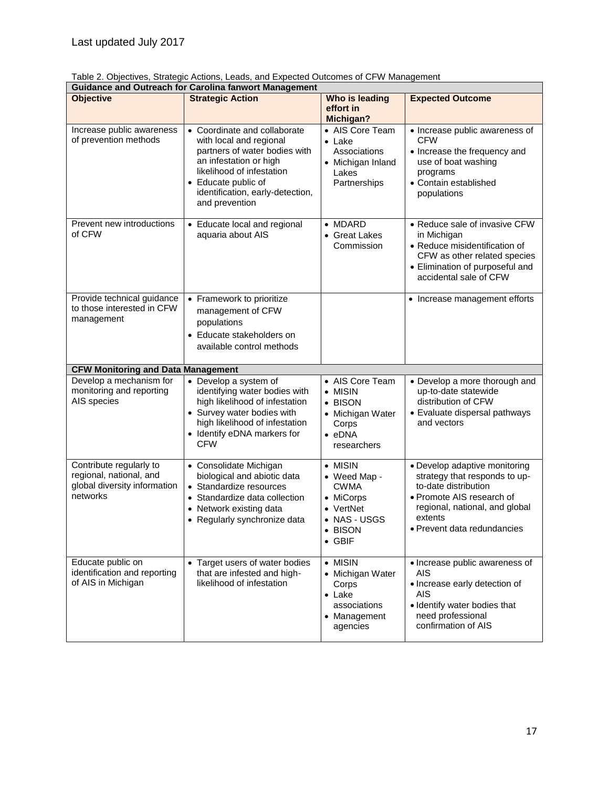|  |  |  | Table 2. Objectives, Strategic Actions, Leads, and Expected Outcomes of CFW Management |
|--|--|--|----------------------------------------------------------------------------------------|
|  |  |  |                                                                                        |

| <b>Guidance and Outreach for Carolina fanwort Management</b>                                   |                                                                                                                                                                                                                              |                                                                                                                    |                                                                                                                                                                                                 |  |  |  |  |  |
|------------------------------------------------------------------------------------------------|------------------------------------------------------------------------------------------------------------------------------------------------------------------------------------------------------------------------------|--------------------------------------------------------------------------------------------------------------------|-------------------------------------------------------------------------------------------------------------------------------------------------------------------------------------------------|--|--|--|--|--|
| <b>Objective</b>                                                                               | <b>Strategic Action</b>                                                                                                                                                                                                      | Who is leading<br>effort in<br><b>Michigan?</b>                                                                    | <b>Expected Outcome</b>                                                                                                                                                                         |  |  |  |  |  |
| Increase public awareness<br>of prevention methods                                             | • Coordinate and collaborate<br>with local and regional<br>partners of water bodies with<br>an infestation or high<br>likelihood of infestation<br>• Educate public of<br>identification, early-detection,<br>and prevention | • AIS Core Team<br>$\bullet$ Lake<br>Associations<br>• Michigan Inland<br>Lakes<br>Partnerships                    | • Increase public awareness of<br><b>CFW</b><br>• Increase the frequency and<br>use of boat washing<br>programs<br>• Contain established<br>populations                                         |  |  |  |  |  |
| Prevent new introductions<br>of CFW                                                            | • Educate local and regional<br>aquaria about AIS                                                                                                                                                                            | $\bullet$ MDARD<br>• Great Lakes<br>Commission                                                                     | • Reduce sale of invasive CFW<br>in Michigan<br>• Reduce misidentification of<br>CFW as other related species<br>• Elimination of purposeful and<br>accidental sale of CFW                      |  |  |  |  |  |
| Provide technical guidance<br>to those interested in CFW<br>management                         | • Framework to prioritize<br>management of CFW<br>populations<br>• Educate stakeholders on<br>available control methods                                                                                                      |                                                                                                                    | • Increase management efforts                                                                                                                                                                   |  |  |  |  |  |
| <b>CFW Monitoring and Data Management</b>                                                      |                                                                                                                                                                                                                              |                                                                                                                    |                                                                                                                                                                                                 |  |  |  |  |  |
| Develop a mechanism for<br>monitoring and reporting<br>AIS species                             | • Develop a system of<br>identifying water bodies with<br>high likelihood of infestation<br>• Survey water bodies with<br>high likelihood of infestation<br>• Identify eDNA markers for<br><b>CFW</b>                        | • AIS Core Team<br>• MISIN<br>• BISON<br>• Michigan Water<br>Corps<br>$\bullet$ eDNA<br>researchers                | • Develop a more thorough and<br>up-to-date statewide<br>distribution of CFW<br>• Evaluate dispersal pathways<br>and vectors                                                                    |  |  |  |  |  |
| Contribute regularly to<br>regional, national, and<br>global diversity information<br>networks | • Consolidate Michigan<br>biological and abiotic data<br>• Standardize resources<br>• Standardize data collection<br>• Network existing data<br>• Regularly synchronize data                                                 | • MISIN<br>• Weed Map -<br><b>CWMA</b><br>• MiCorps<br>• VertNet<br>• NAS - USGS<br><b>BISON</b><br>$\bullet$ GBIF | • Develop adaptive monitoring<br>strategy that responds to up-<br>to-date distribution<br>• Promote AIS research of<br>regional, national, and global<br>extents<br>• Prevent data redundancies |  |  |  |  |  |
| Educate public on<br>identification and reporting<br>of AIS in Michigan                        | • Target users of water bodies<br>that are infested and high-<br>likelihood of infestation                                                                                                                                   | • MISIN<br>• Michigan Water<br>Corps<br>$\bullet$ Lake<br>associations<br>• Management<br>agencies                 | • Increase public awareness of<br>AIS<br>• Increase early detection of<br><b>AIS</b><br>• Identify water bodies that<br>need professional<br>confirmation of AIS                                |  |  |  |  |  |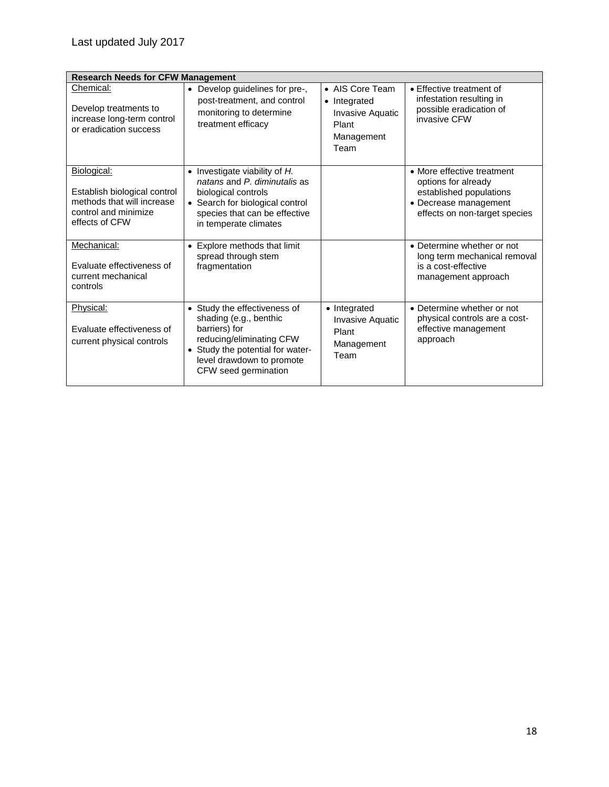| <b>Research Needs for CFW Management</b>                                                                            |                                                                                                                                                                                                         |                                                                                           |                                                                                                                                        |  |  |  |  |
|---------------------------------------------------------------------------------------------------------------------|---------------------------------------------------------------------------------------------------------------------------------------------------------------------------------------------------------|-------------------------------------------------------------------------------------------|----------------------------------------------------------------------------------------------------------------------------------------|--|--|--|--|
| Chemical:<br>Develop treatments to<br>increase long-term control<br>or eradication success                          | Develop guidelines for pre-,<br>$\bullet$<br>post-treatment, and control<br>monitoring to determine<br>treatment efficacy                                                                               | • AIS Core Team<br>• Integrated<br><b>Invasive Aquatic</b><br>Plant<br>Management<br>Team | • Effective treatment of<br>infestation resulting in<br>possible eradication of<br>invasive CFW                                        |  |  |  |  |
| Biological:<br>Establish biological control<br>methods that will increase<br>control and minimize<br>effects of CFW | $\bullet$ Investigate viability of H.<br>natans and P. diminutalis as<br>biological controls<br>• Search for biological control<br>species that can be effective<br>in temperate climates               |                                                                                           | • More effective treatment<br>options for already<br>established populations<br>• Decrease management<br>effects on non-target species |  |  |  |  |
| Mechanical:<br>Evaluate effectiveness of<br>current mechanical<br>controls                                          | Explore methods that limit<br>$\bullet$<br>spread through stem<br>fragmentation                                                                                                                         |                                                                                           | • Determine whether or not<br>long term mechanical removal<br>is a cost-effective<br>management approach                               |  |  |  |  |
| Physical:<br>Evaluate effectiveness of<br>current physical controls                                                 | • Study the effectiveness of<br>shading (e.g., benthic<br>barriers) for<br>reducing/eliminating CFW<br>Study the potential for water-<br>$\bullet$<br>level drawdown to promote<br>CFW seed germination | • Integrated<br><b>Invasive Aquatic</b><br>Plant<br>Management<br>Team                    | • Determine whether or not<br>physical controls are a cost-<br>effective management<br>approach                                        |  |  |  |  |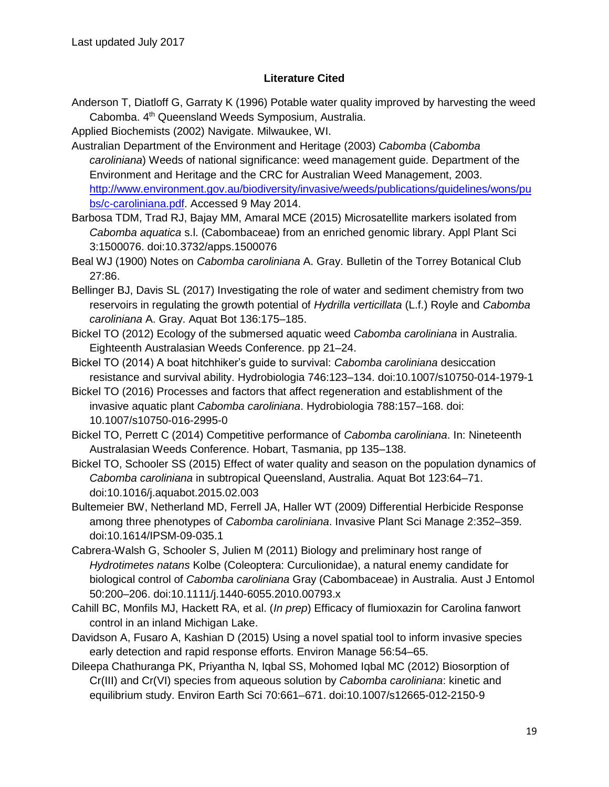### **Literature Cited**

Anderson T, Diatloff G, Garraty K (1996) Potable water quality improved by harvesting the weed Cabomba. 4<sup>th</sup> Queensland Weeds Symposium, Australia.

Applied Biochemists (2002) Navigate. Milwaukee, WI.

Australian Department of the Environment and Heritage (2003) *Cabomba* (*Cabomba caroliniana*) Weeds of national significance: weed management guide. Department of the Environment and Heritage and the CRC for Australian Weed Management, 2003. [http://www.environment.gov.au/biodiversity/invasive/weeds/publications/guidelines/wons/pu](http://www.environment.gov.au/biodiversity/invasive/weeds/publications/guidelines/wons/pubs/c-caroliniana.pdf) [bs/c-caroliniana.pdf.](http://www.environment.gov.au/biodiversity/invasive/weeds/publications/guidelines/wons/pubs/c-caroliniana.pdf) Accessed 9 May 2014.

- Barbosa TDM, Trad RJ, Bajay MM, Amaral MCE (2015) Microsatellite markers isolated from *Cabomba aquatica* s.l. (Cabombaceae) from an enriched genomic library. Appl Plant Sci 3:1500076. doi:10.3732/apps.1500076
- Beal WJ (1900) Notes on *Cabomba caroliniana* A. Gray. Bulletin of the Torrey Botanical Club 27:86.
- Bellinger BJ, Davis SL (2017) Investigating the role of water and sediment chemistry from two reservoirs in regulating the growth potential of *Hydrilla verticillata* (L.f.) Royle and *Cabomba caroliniana* A. Gray. Aquat Bot 136:175–185.
- Bickel TO (2012) Ecology of the submersed aquatic weed *Cabomba caroliniana* in Australia. Eighteenth Australasian Weeds Conference. pp 21–24.
- Bickel TO (2014) A boat hitchhiker's guide to survival: *Cabomba caroliniana* desiccation resistance and survival ability. Hydrobiologia 746:123–134. doi:10.1007/s10750-014-1979-1
- Bickel TO (2016) Processes and factors that affect regeneration and establishment of the invasive aquatic plant *Cabomba caroliniana*. Hydrobiologia 788:157–168. doi: 10.1007/s10750-016-2995-0
- Bickel TO, Perrett C (2014) Competitive performance of *Cabomba caroliniana*. In: Nineteenth Australasian Weeds Conference. Hobart, Tasmania, pp 135–138.
- Bickel TO, Schooler SS (2015) Effect of water quality and season on the population dynamics of *Cabomba caroliniana* in subtropical Queensland, Australia. Aquat Bot 123:64–71. doi:10.1016/j.aquabot.2015.02.003
- Bultemeier BW, Netherland MD, Ferrell JA, Haller WT (2009) Differential Herbicide Response among three phenotypes of *Cabomba caroliniana*. Invasive Plant Sci Manage 2:352–359. doi:10.1614/IPSM-09-035.1
- Cabrera-Walsh G, Schooler S, Julien M (2011) Biology and preliminary host range of *Hydrotimetes natans* Kolbe (Coleoptera: Curculionidae), a natural enemy candidate for biological control of *Cabomba caroliniana* Gray (Cabombaceae) in Australia. Aust J Entomol 50:200–206. doi:10.1111/j.1440-6055.2010.00793.x
- Cahill BC, Monfils MJ, Hackett RA, et al. (*In prep*) Efficacy of flumioxazin for Carolina fanwort control in an inland Michigan Lake.
- Davidson A, Fusaro A, Kashian D (2015) Using a novel spatial tool to inform invasive species early detection and rapid response efforts. Environ Manage 56:54–65.
- Dileepa Chathuranga PK, Priyantha N, Iqbal SS, Mohomed Iqbal MC (2012) Biosorption of Cr(III) and Cr(VI) species from aqueous solution by *Cabomba caroliniana*: kinetic and equilibrium study. Environ Earth Sci 70:661–671. doi:10.1007/s12665-012-2150-9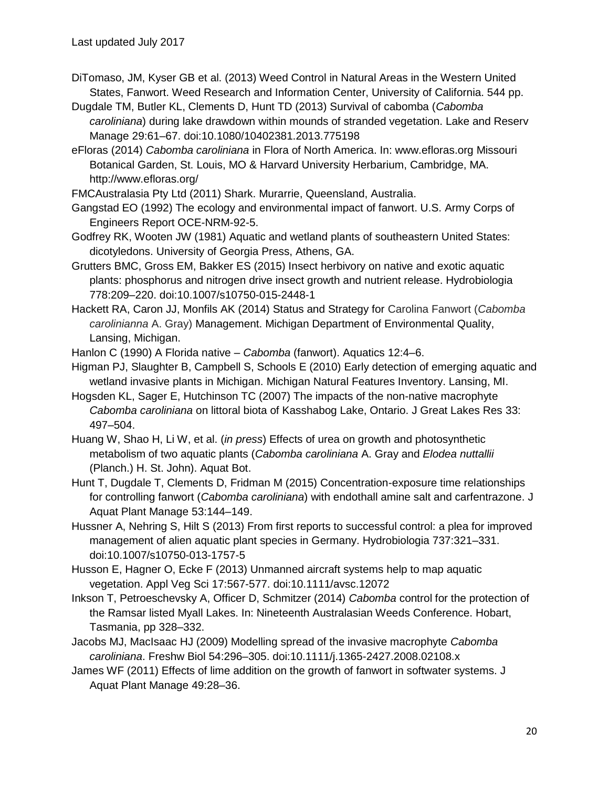- DiTomaso, JM, Kyser GB et al. (2013) Weed Control in Natural Areas in the Western United States, Fanwort. Weed Research and Information Center, University of California. 544 pp.
- Dugdale TM, Butler KL, Clements D, Hunt TD (2013) Survival of cabomba (*Cabomba caroliniana*) during lake drawdown within mounds of stranded vegetation. Lake and Reserv Manage 29:61–67. doi:10.1080/10402381.2013.775198
- eFloras (2014) *Cabomba caroliniana* in Flora of North America. In: www.efloras.org Missouri Botanical Garden, St. Louis, MO & Harvard University Herbarium, Cambridge, MA. http://www.efloras.org/
- FMCAustralasia Pty Ltd (2011) Shark. Murarrie, Queensland, Australia.
- Gangstad EO (1992) The ecology and environmental impact of fanwort. U.S. Army Corps of Engineers Report OCE-NRM-92-5.
- Godfrey RK, Wooten JW (1981) Aquatic and wetland plants of southeastern United States: dicotyledons. University of Georgia Press, Athens, GA.
- Grutters BMC, Gross EM, Bakker ES (2015) Insect herbivory on native and exotic aquatic plants: phosphorus and nitrogen drive insect growth and nutrient release. Hydrobiologia 778:209–220. doi:10.1007/s10750-015-2448-1
- Hackett RA, Caron JJ, Monfils AK (2014) Status and Strategy for Carolina Fanwort (*Cabomba carolinianna* A. Gray) Management. Michigan Department of Environmental Quality, Lansing, Michigan.

Hanlon C (1990) A Florida native – *Cabomba* (fanwort). Aquatics 12:4–6.

- Higman PJ, Slaughter B, Campbell S, Schools E (2010) Early detection of emerging aquatic and wetland invasive plants in Michigan. Michigan Natural Features Inventory. Lansing, MI.
- Hogsden KL, Sager E, Hutchinson TC (2007) The impacts of the non-native macrophyte *Cabomba caroliniana* on littoral biota of Kasshabog Lake, Ontario. J Great Lakes Res 33: 497–504.
- Huang W, Shao H, Li W, et al. (*in press*) Effects of urea on growth and photosynthetic metabolism of two aquatic plants (*Cabomba caroliniana* A. Gray and *Elodea nuttallii* (Planch.) H. St. John). Aquat Bot.
- Hunt T, Dugdale T, Clements D, Fridman M (2015) Concentration-exposure time relationships for controlling fanwort (*Cabomba caroliniana*) with endothall amine salt and carfentrazone. J Aquat Plant Manage 53:144–149.
- Hussner A, Nehring S, Hilt S (2013) From first reports to successful control: a plea for improved management of alien aquatic plant species in Germany. Hydrobiologia 737:321–331. doi:10.1007/s10750-013-1757-5
- Husson E, Hagner O, Ecke F (2013) Unmanned aircraft systems help to map aquatic vegetation. Appl Veg Sci 17:567-577. doi:10.1111/avsc.12072
- Inkson T, Petroeschevsky A, Officer D, Schmitzer (2014) *Cabomba* control for the protection of the Ramsar listed Myall Lakes. In: Nineteenth Australasian Weeds Conference. Hobart, Tasmania, pp 328–332.
- Jacobs MJ, MacIsaac HJ (2009) Modelling spread of the invasive macrophyte *Cabomba caroliniana*. Freshw Biol 54:296–305. doi:10.1111/j.1365-2427.2008.02108.x
- James WF (2011) Effects of lime addition on the growth of fanwort in softwater systems. J Aquat Plant Manage 49:28–36.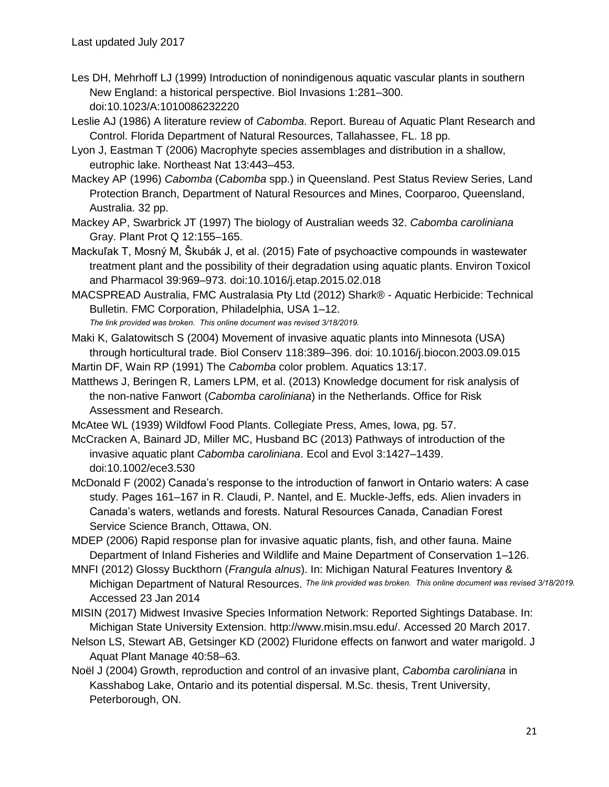- Les DH, Mehrhoff LJ (1999) Introduction of nonindigenous aquatic vascular plants in southern New England: a historical perspective. Biol Invasions 1:281–300. doi:10.1023/A:1010086232220
- Leslie AJ (1986) A literature review of *Cabomba*. Report. Bureau of Aquatic Plant Research and Control. Florida Department of Natural Resources, Tallahassee, FL. 18 pp.
- Lyon J, Eastman T (2006) Macrophyte species assemblages and distribution in a shallow, eutrophic lake. Northeast Nat 13:443–453.
- Mackey AP (1996) *Cabomba* (*Cabomba* spp.) in Queensland. Pest Status Review Series, Land Protection Branch, Department of Natural Resources and Mines, Coorparoo, Queensland, Australia. 32 pp.
- Mackey AP, Swarbrick JT (1997) The biology of Australian weeds 32. *Cabomba caroliniana* Gray. Plant Prot Q 12:155–165.
- Mackuľak T, Mosný M, Škubák J, et al. (2015) Fate of psychoactive compounds in wastewater treatment plant and the possibility of their degradation using aquatic plants. Environ Toxicol and Pharmacol 39:969–973. doi:10.1016/j.etap.2015.02.018
- MACSPREAD Australia, FMC Australasia Pty Ltd (2012) Shark® Aquatic Herbicide: Technical Bulletin. FMC Corporation, Philadelphia, USA 1–12.

*The link provided was broken. This online document was revised 3/18/2019.*

Maki K, Galatowitsch S (2004) Movement of invasive aquatic plants into Minnesota (USA) through horticultural trade. Biol Conserv 118:389–396. doi: 10.1016/j.biocon.2003.09.015

Martin DF, Wain RP (1991) The *Cabomba* color problem. Aquatics 13:17.

- Matthews J, Beringen R, Lamers LPM, et al. (2013) Knowledge document for risk analysis of the non-native Fanwort (*Cabomba caroliniana*) in the Netherlands. Office for Risk Assessment and Research.
- McAtee WL (1939) Wildfowl Food Plants. Collegiate Press, Ames, Iowa, pg. 57.

McCracken A, Bainard JD, Miller MC, Husband BC (2013) Pathways of introduction of the invasive aquatic plant *Cabomba caroliniana*. Ecol and Evol 3:1427–1439. doi:10.1002/ece3.530

- McDonald F (2002) Canada's response to the introduction of fanwort in Ontario waters: A case study. Pages 161–167 in R. Claudi, P. Nantel, and E. Muckle-Jeffs, eds. Alien invaders in Canada's waters, wetlands and forests. Natural Resources Canada, Canadian Forest Service Science Branch, Ottawa, ON.
- MDEP (2006) Rapid response plan for invasive aquatic plants, fish, and other fauna. Maine Department of Inland Fisheries and Wildlife and Maine Department of Conservation 1–126.
- MNFI (2012) Glossy Buckthorn (*Frangula alnus*). In: Michigan Natural Features Inventory & Michigan Department of Natural Resources. *The link provided was broken. This online document was revised 3/18/2019.* Accessed 23 Jan 2014
- MISIN (2017) Midwest Invasive Species Information Network: Reported Sightings Database. In: Michigan State University Extension. http://www.misin.msu.edu/. Accessed 20 March 2017.
- Nelson LS, Stewart AB, Getsinger KD (2002) Fluridone effects on fanwort and water marigold. J Aquat Plant Manage 40:58–63.
- Noël J (2004) Growth, reproduction and control of an invasive plant, *Cabomba caroliniana* in Kasshabog Lake, Ontario and its potential dispersal. M.Sc. thesis, Trent University, Peterborough, ON.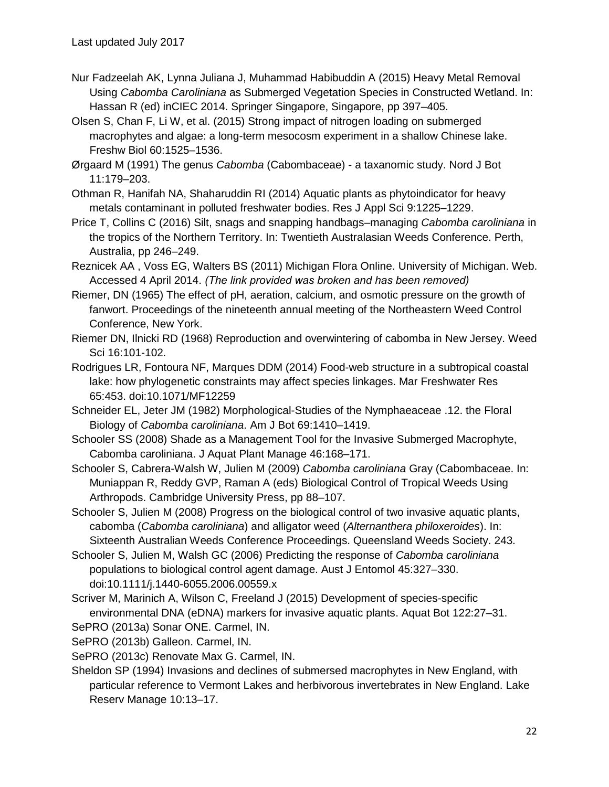- Nur Fadzeelah AK, Lynna Juliana J, Muhammad Habibuddin A (2015) Heavy Metal Removal Using *Cabomba Caroliniana* as Submerged Vegetation Species in Constructed Wetland. In: Hassan R (ed) inCIEC 2014. Springer Singapore, Singapore, pp 397–405.
- Olsen S, Chan F, Li W, et al. (2015) Strong impact of nitrogen loading on submerged macrophytes and algae: a long-term mesocosm experiment in a shallow Chinese lake. Freshw Biol 60:1525–1536.
- Ørgaard M (1991) The genus *Cabomba* (Cabombaceae) a taxanomic study. Nord J Bot 11:179–203.
- Othman R, Hanifah NA, Shaharuddin RI (2014) Aquatic plants as phytoindicator for heavy metals contaminant in polluted freshwater bodies. Res J Appl Sci 9:1225–1229.
- Price T, Collins C (2016) Silt, snags and snapping handbags–managing *Cabomba caroliniana* in the tropics of the Northern Territory. In: Twentieth Australasian Weeds Conference. Perth, Australia, pp 246–249.
- Reznicek AA , Voss EG, Walters BS (2011) Michigan Flora Online. University of Michigan. Web. Accessed 4 April 2014. *(The link provided was broken and has been removed)*
- Riemer, DN (1965) The effect of pH, aeration, calcium, and osmotic pressure on the growth of fanwort. Proceedings of the nineteenth annual meeting of the Northeastern Weed Control Conference, New York.
- Riemer DN, Ilnicki RD (1968) Reproduction and overwintering of cabomba in New Jersey. Weed Sci 16:101-102.
- Rodrigues LR, Fontoura NF, Marques DDM (2014) Food-web structure in a subtropical coastal lake: how phylogenetic constraints may affect species linkages. Mar Freshwater Res 65:453. doi:10.1071/MF12259
- Schneider EL, Jeter JM (1982) Morphological-Studies of the Nymphaeaceae .12. the Floral Biology of *Cabomba caroliniana*. Am J Bot 69:1410–1419.
- Schooler SS (2008) Shade as a Management Tool for the Invasive Submerged Macrophyte, Cabomba caroliniana. J Aquat Plant Manage 46:168–171.
- Schooler S, Cabrera-Walsh W, Julien M (2009) *Cabomba caroliniana* Gray (Cabombaceae. In: Muniappan R, Reddy GVP, Raman A (eds) Biological Control of Tropical Weeds Using Arthropods. Cambridge University Press, pp 88–107.
- Schooler S, Julien M (2008) Progress on the biological control of two invasive aquatic plants, cabomba (*Cabomba caroliniana*) and alligator weed (*Alternanthera philoxeroides*). In: Sixteenth Australian Weeds Conference Proceedings. Queensland Weeds Society. 243.
- Schooler S, Julien M, Walsh GC (2006) Predicting the response of *Cabomba caroliniana*  populations to biological control agent damage. Aust J Entomol 45:327–330. doi:10.1111/j.1440-6055.2006.00559.x
- Scriver M, Marinich A, Wilson C, Freeland J (2015) Development of species-specific environmental DNA (eDNA) markers for invasive aquatic plants. Aquat Bot 122:27–31.
- SePRO (2013a) Sonar ONE. Carmel, IN.
- SePRO (2013b) Galleon. Carmel, IN.
- SePRO (2013c) Renovate Max G. Carmel, IN.
- Sheldon SP (1994) Invasions and declines of submersed macrophytes in New England, with particular reference to Vermont Lakes and herbivorous invertebrates in New England. Lake Reserv Manage 10:13–17.